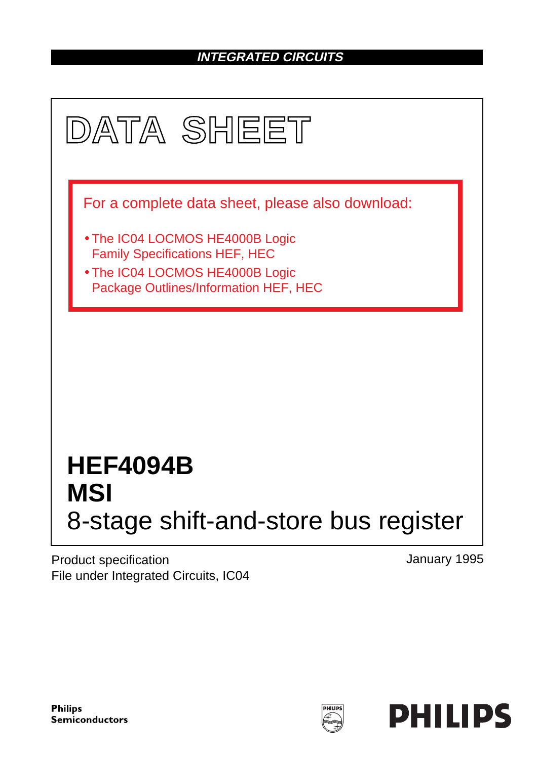### **INTEGRATED CIRCUITS**



Product specification File under Integrated Circuits, IC04 January 1995

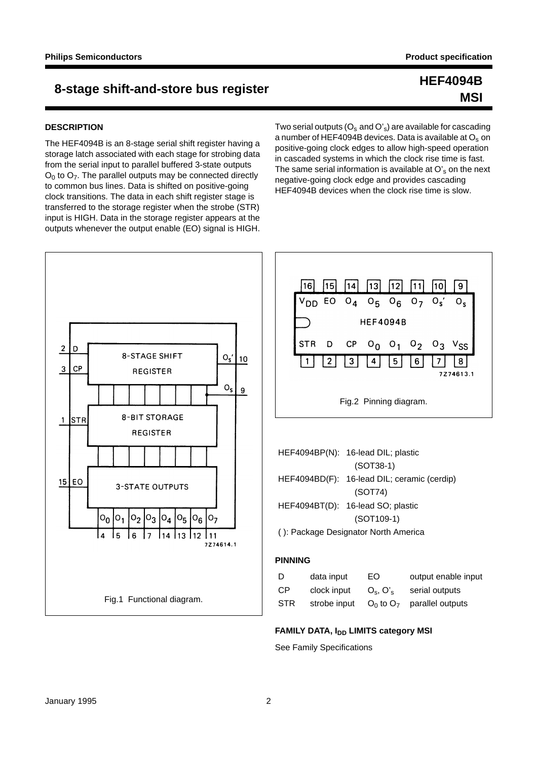### **8-stage shift-and-store bus register HEF4094B**

#### **DESCRIPTION**

The HEF4094B is an 8-stage serial shift register having a storage latch associated with each stage for strobing data from the serial input to parallel buffered 3-state outputs  $O<sub>0</sub>$  to  $O<sub>7</sub>$ . The parallel outputs may be connected directly to common bus lines. Data is shifted on positive-going clock transitions. The data in each shift register stage is transferred to the storage register when the strobe (STR) input is HIGH. Data in the storage register appears at the outputs whenever the output enable (EO) signal is HIGH.

Two serial outputs  $(O_s \text{ and } O'_s)$  are available for cascading a number of HEF4094B devices. Data is available at O<sub>s</sub> on positive-going clock edges to allow high-speed operation in cascaded systems in which the clock rise time is fast. The same serial information is available at  $O<sub>s</sub>$  on the next negative-going clock edge and provides cascading HEF4094B devices when the clock rise time is slow.



#### **FAMILY DATA, I<sub>DD</sub> LIMITS category MSI**

See Family Specifications

## **MSI**

 $\overline{9}$ 

 $O_{s}$ 

8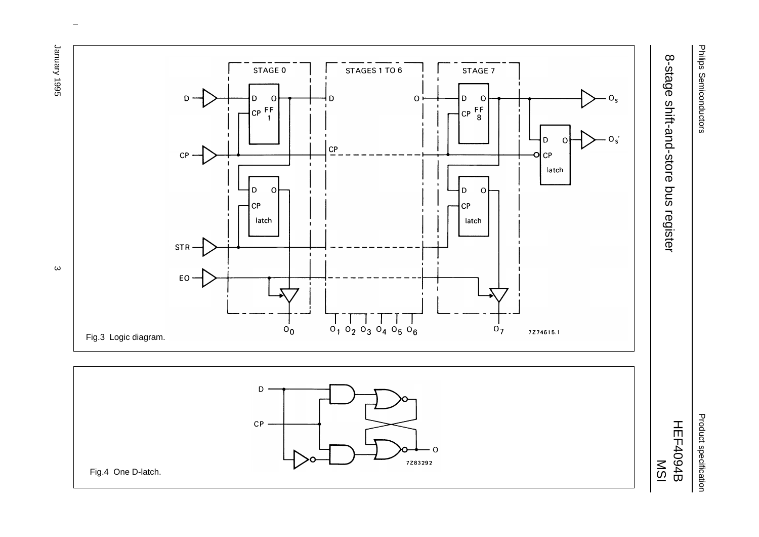

Product specification Product specification



January 1995 January 1995 3

ပ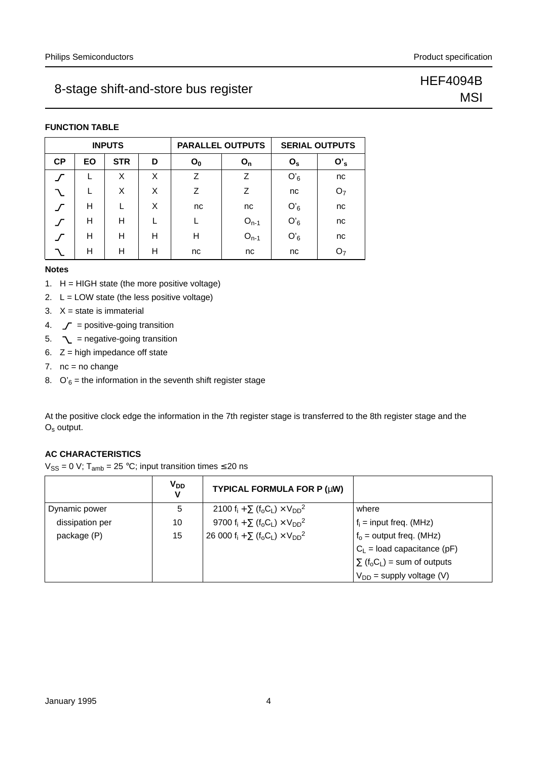### 8-stage shift-and-store bus register Manuscriptus of the HEF4094B

## **MSI**

#### **FUNCTION TABLE**

|           |           | <b>INPUTS</b> |   |       | <b>PARALLEL OUTPUTS</b> |             | <b>SERIAL OUTPUTS</b> |
|-----------|-----------|---------------|---|-------|-------------------------|-------------|-----------------------|
| <b>CP</b> | <b>EO</b> | <b>STR</b>    | D | $O_0$ | $O_{n}$                 | $O_{\rm s}$ | $O'_s$                |
|           |           | X             | X | Ζ     | Z                       | $O'_6$      | nc                    |
|           |           | X             | X | Z     | Z                       | nc          | O <sub>7</sub>        |
|           | н         |               | X | nc    | nc                      | $O'_6$      | nc                    |
|           | н         | н             |   |       | $O_{n-1}$               | $O'_6$      | nc                    |
|           | н         | н             | н | н     | $O_{n-1}$               | $O'_6$      | nc                    |
|           | н         | н             | н | nc    | nc                      | nc          | Õ7                    |

#### **Notes**

- 1. H = HIGH state (the more positive voltage)
- 2.  $L = LOW$  state (the less positive voltage)
- 3.  $X = state$  is immaterial
- 4.  $\mathcal{J}$  = positive-going transition
- 5.  $\sim$  = negative-going transition
- 6.  $Z =$  high impedance off state
- 7.  $nc = no change$
- 8.  $O'_6$  = the information in the seventh shift register stage

At the positive clock edge the information in the 7th register stage is transferred to the 8th register stage and the Os output.

### **AC CHARACTERISTICS**

 $V_{SS} = 0$  V; T<sub>amb</sub> = 25 °C; input transition times  $\leq$  20 ns

|                 | V <sub>DD</sub><br>v | TYPICAL FORMULA FOR P (µW)                    |                                                          |
|-----------------|----------------------|-----------------------------------------------|----------------------------------------------------------|
| Dynamic power   | 5                    | 2100 $f_i + \sum (f_o C_L) \times V_{DD}^2$   | where                                                    |
| dissipation per | 10                   | 9700 $f_i + \sum (f_o C_L) \times V_{DD}^2$   | $f_i$ = input freq. (MHz)                                |
| package (P)     | 15                   | 26 000 $f_i + \sum (f_o C_L) \times V_{DD}^2$ | $f_0$ = output freq. (MHz)                               |
|                 |                      |                                               | $C_L$ = load capacitance (pF)                            |
|                 |                      |                                               | $\sum$ (f <sub>o</sub> C <sub>L</sub> ) = sum of outputs |
|                 |                      |                                               | $V_{DD}$ = supply voltage (V)                            |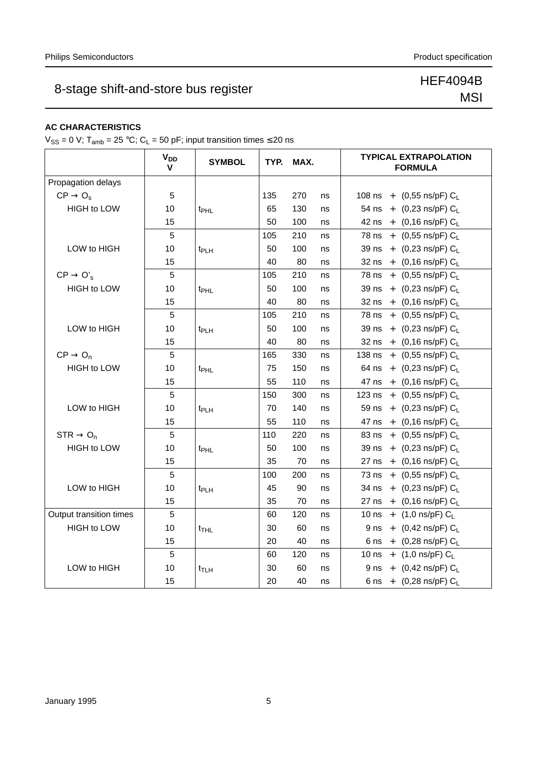## 8-stage shift-and-store bus register Manusculph and HEF4094B

## MSI

### **AC CHARACTERISTICS**

 $V_{SS} = 0$  V; T<sub>amb</sub> = 25 °C; C<sub>L</sub> = 50 pF; input transition times  $\leq$  20 ns

|                         | $V_{DD}$<br>v  | <b>SYMBOL</b>    |     | TYP. MAX. |    | <b>TYPICAL EXTRAPOLATION</b><br><b>FORMULA</b> |
|-------------------------|----------------|------------------|-----|-----------|----|------------------------------------------------|
| Propagation delays      |                |                  |     |           |    |                                                |
| $CP \rightarrow O_s$    | 5              |                  | 135 | 270       | ns | 108 ns + $(0,55 \text{ ns/pF}) C_1$            |
| <b>HIGH to LOW</b>      | 10             | t <sub>PHL</sub> | 65  | 130       | ns | 54 ns + $(0,23 \text{ ns/pF}) C_L$             |
|                         | 15             |                  | 50  | 100       | ns | 42 ns + $(0.16 \text{ ns/pF}) C_L$             |
|                         | 5              |                  | 105 | 210       | ns | 78 ns + $(0,55 \text{ ns/pF}) C_L$             |
| LOW to HIGH             | 10             | t <sub>PLH</sub> | 50  | 100       | ns | 39 ns + $(0,23 \text{ ns/pF}) C_L$             |
|                         | 15             |                  | 40  | 80        | ns | 32 ns + $(0,16 \text{ ns/pF}) C_L$             |
| $CP \rightarrow O'_{s}$ | 5              |                  | 105 | 210       | ns | 78 ns + $(0,55 \text{ ns/pF}) C_L$             |
| HIGH to LOW             | 10             | t <sub>PHL</sub> | 50  | 100       | ns | 39 ns + $(0,23 \text{ ns/pF}) C_L$             |
|                         | 15             |                  | 40  | 80        | ns | 32 ns + $(0,16 \text{ ns/pF}) C_L$             |
|                         | 5              |                  | 105 | 210       | ns | 78 ns + $(0,55 \text{ ns/pF}) C_L$             |
| LOW to HIGH             | 10             | t <sub>PLH</sub> | 50  | 100       | ns | 39 ns + $(0,23 \text{ ns/pF}) C_L$             |
|                         | 15             |                  | 40  | 80        | ns | 32 ns + $(0,16 \text{ ns/pF}) C_L$             |
| $CP \rightarrow O_n$    | 5              |                  | 165 | 330       | ns | 138 ns + $(0,55 \text{ ns/pF}) C_L$            |
| <b>HIGH to LOW</b>      | 10             | t <sub>PHL</sub> | 75  | 150       | ns | 64 ns + $(0,23 \text{ ns/pF}) C_L$             |
|                         | 15             |                  | 55  | 110       | ns | 47 ns + $(0,16 \text{ ns/pF}) C_L$             |
|                         | 5              |                  | 150 | 300       | ns | 123 ns + $(0,55 \text{ ns/pF}) C_L$            |
| LOW to HIGH             | 10             | t <sub>PLH</sub> | 70  | 140       | ns | 59 ns + $(0,23 \text{ ns/pF}) C_L$             |
|                         | 15             |                  | 55  | 110       | ns | 47 ns + $(0,16 \text{ ns/pF}) C_L$             |
| $STR \rightarrow O_n$   | 5              |                  | 110 | 220       | ns | 83 ns + $(0,55 \text{ ns/pF}) C_L$             |
| <b>HIGH to LOW</b>      | 10             | t <sub>PHL</sub> | 50  | 100       | ns | 39 ns + $(0,23 \text{ ns/pF}) C_1$             |
|                         | 15             |                  | 35  | 70        | ns | 27 ns + $(0,16 \text{ ns/pF}) C_L$             |
|                         | 5              |                  | 100 | 200       | ns | 73 ns + $(0,55 \text{ ns/pF}) C_L$             |
| LOW to HIGH             | 10             | t <sub>PLH</sub> | 45  | 90        | ns | 34 ns + $(0,23 \text{ ns/pF}) C_L$             |
|                         | 15             |                  | 35  | 70        | ns | 27 ns + $(0,16 \text{ ns/pF}) C_L$             |
| Output transition times | $\overline{5}$ |                  | 60  | 120       | ns | 10 ns + $(1,0 \text{ ns/pF}) C_L$              |
| <b>HIGH to LOW</b>      | 10             | $t_{THL}$        | 30  | 60        | ns | 9 ns + $(0,42 \text{ ns/pF}) C_L$              |
|                         | 15             |                  | 20  | 40        | ns | 6 ns + $(0,28 \text{ ns/pF}) C_L$              |
|                         | 5              |                  | 60  | 120       | ns | 10 ns + $(1,0 \text{ ns/pF}) C_L$              |
| LOW to HIGH             | 10             | $t_{\sf T LH}$   | 30  | 60        | ns | 9 ns + $(0,42 \text{ ns/pF}) C_1$              |
|                         | 15             |                  | 20  | 40        | ns | 6 ns + $(0,28 \text{ ns/pF}) C_1$              |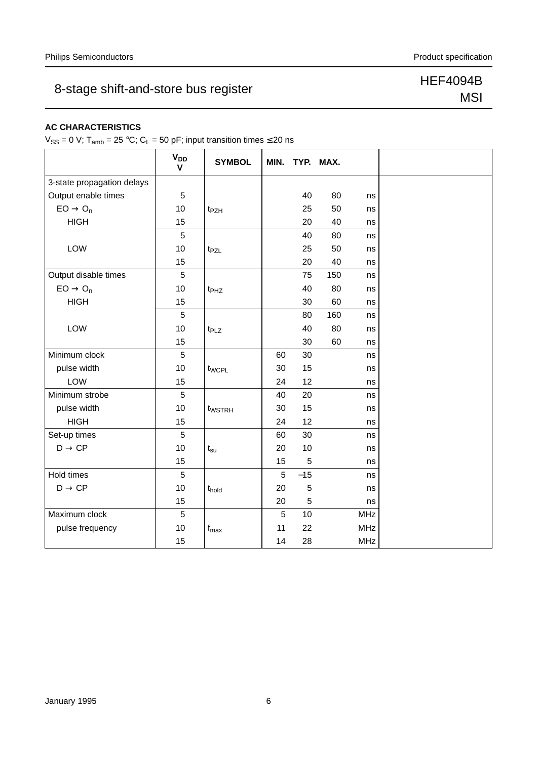## 8-stage shift-and-store bus register Manusculph and HEF4094B

## MSI

### **AC CHARACTERISTICS**

 $V_{SS} = 0$  V; T<sub>amb</sub> = 25 °C; C<sub>L</sub> = 50 pF; input transition times  $\leq$  20 ns

|                            | <b>V<sub>DD</sub></b><br>$\mathbf v$ | <b>SYMBOL</b>     | MIN. |            | TYP. MAX. |            |
|----------------------------|--------------------------------------|-------------------|------|------------|-----------|------------|
| 3-state propagation delays |                                      |                   |      |            |           |            |
| Output enable times        | 5                                    |                   |      | 40         | 80        | ns         |
| $EO \rightarrow O_n$       | 10                                   | t <sub>PZH</sub>  |      | 25         | 50        | ns         |
| <b>HIGH</b>                | 15                                   |                   |      | 20         | 40        | ns         |
|                            | 5                                    |                   |      | 40         | 80        | ns         |
| LOW                        | 10                                   | t <sub>PZL</sub>  |      | 25         | 50        | ns         |
|                            | 15                                   |                   |      | 20         | 40        | ns         |
| Output disable times       | 5                                    |                   |      | 75         | 150       | ns         |
| $EO \rightarrow O_n$       | 10                                   | t <sub>PHZ</sub>  |      | 40         | 80        | ns         |
| <b>HIGH</b>                | 15                                   |                   |      | 30         | 60        | ns         |
|                            | 5                                    |                   |      | 80         | 160       | ns         |
| LOW                        | 10                                   | t <sub>PLZ</sub>  |      | 40         | 80        | ns         |
|                            | 15                                   |                   |      | 30         | 60        | ns         |
| Minimum clock              | 5                                    |                   | 60   | 30         |           | ns         |
| pulse width                | 10                                   | twcpL             | 30   | 15         |           | ns         |
| LOW                        | 15                                   |                   | 24   | 12         |           | ns         |
| Minimum strobe             | 5                                    |                   | 40   | 20         |           | ns         |
| pulse width                | 10                                   | twstrh            | 30   | 15         |           | ns         |
| <b>HIGH</b>                | 15                                   |                   | 24   | 12         |           | ns         |
| Set-up times               | 5                                    |                   | 60   | 30         |           | ns         |
| $D \rightarrow CP$         | 10                                   | $t_{\rm su}$      | 20   | $10$       |           | ns         |
|                            | 15                                   |                   | 15   | 5          |           | ns         |
| Hold times                 | 5                                    |                   | 5    | $-15$      |           | ns         |
| $D \rightarrow CP$         | 10                                   | t <sub>hold</sub> | 20   | 5          |           | ns         |
|                            | 15                                   |                   | 20   | $\sqrt{5}$ |           | ns         |
| Maximum clock              | 5                                    |                   | 5    | 10         |           | <b>MHz</b> |
| pulse frequency            | 10                                   | $f_{\text{max}}$  | 11   | 22         |           | <b>MHz</b> |
|                            | 15                                   |                   | 14   | 28         |           | MHz        |